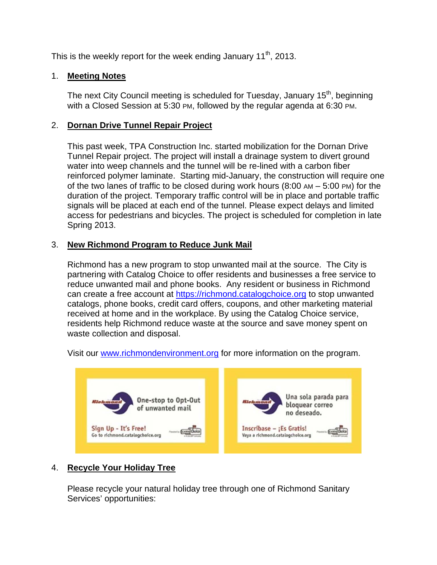This is the weekly report for the week ending January  $11^{th}$ , 2013.

## 1. **Meeting Notes**

The next City Council meeting is scheduled for Tuesday, January 15<sup>th</sup>, beginning with a Closed Session at 5:30 PM, followed by the regular agenda at 6:30 PM.

## 2. **Dornan Drive Tunnel Repair Project**

This past week, TPA Construction Inc. started mobilization for the Dornan Drive Tunnel Repair project. The project will install a drainage system to divert ground water into weep channels and the tunnel will be re-lined with a carbon fiber reinforced polymer laminate. Starting mid-January, the construction will require one of the two lanes of traffic to be closed during work hours  $(8:00 \text{ AM} - 5:00 \text{ PM})$  for the duration of the project. Temporary traffic control will be in place and portable traffic signals will be placed at each end of the tunnel. Please expect delays and limited access for pedestrians and bicycles. The project is scheduled for completion in late Spring 2013.

## 3. **New Richmond Program to Reduce Junk Mail**

Richmond has a new program to stop unwanted mail at the source. The City is partnering with Catalog Choice to offer residents and businesses a free service to reduce unwanted mail and phone books. Any resident or business in Richmond can create a free account at https://richmond.catalogchoice.org to stop unwanted catalogs, phone books, credit card offers, coupons, and other marketing material received at home and in the workplace. By using the Catalog Choice service, residents help Richmond reduce waste at the source and save money spent on waste collection and disposal.



Visit our www.richmondenvironment.org for more information on the program.

# 4. **Recycle Your Holiday Tree**

Please recycle your natural holiday tree through one of Richmond Sanitary Services' opportunities: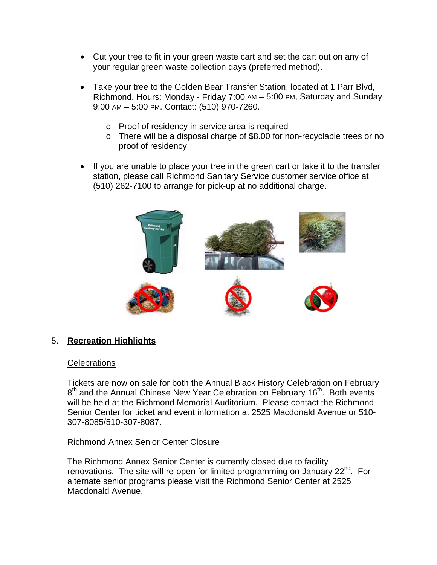- Cut your tree to fit in your green waste cart and set the cart out on any of your regular green waste collection days (preferred method).
- Take your tree to the Golden Bear Transfer Station, located at 1 Parr Blvd, Richmond. Hours: Monday - Friday 7:00 AM – 5:00 PM, Saturday and Sunday 9:00 AM – 5:00 PM. Contact: (510) 970-7260.
	- o Proof of residency in service area is required
	- o There will be a disposal charge of \$8.00 for non-recyclable trees or no proof of residency
- If you are unable to place your tree in the green cart or take it to the transfer station, please call Richmond Sanitary Service customer service office at (510) 262-7100 to arrange for pick-up at no additional charge.



### 5. **Recreation Highlights**

#### **Celebrations**

Tickets are now on sale for both the Annual Black History Celebration on February 8<sup>th</sup> and the Annual Chinese New Year Celebration on February 16<sup>th</sup>. Both events will be held at the Richmond Memorial Auditorium. Please contact the Richmond Senior Center for ticket and event information at 2525 Macdonald Avenue or 510- 307-8085/510-307-8087.

### Richmond Annex Senior Center Closure

The Richmond Annex Senior Center is currently closed due to facility renovations. The site will re-open for limited programming on January 22<sup>nd</sup>. For alternate senior programs please visit the Richmond Senior Center at 2525 Macdonald Avenue.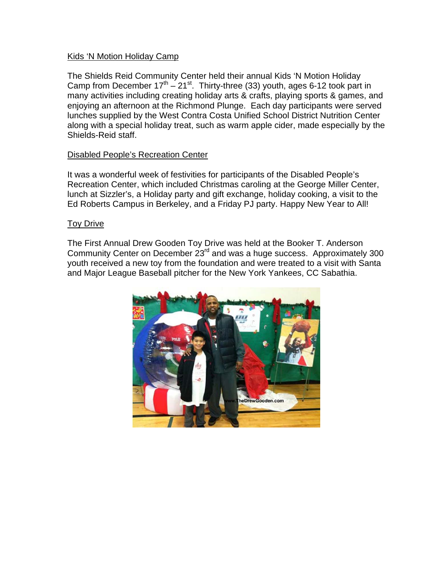### Kids 'N Motion Holiday Camp

The Shields Reid Community Center held their annual Kids 'N Motion Holiday Camp from December  $17^{th} - 21^{st}$ . Thirty-three (33) youth, ages 6-12 took part in many activities including creating holiday arts & crafts, playing sports & games, and enjoying an afternoon at the Richmond Plunge. Each day participants were served lunches supplied by the West Contra Costa Unified School District Nutrition Center along with a special holiday treat, such as warm apple cider, made especially by the Shields-Reid staff.

#### Disabled People's Recreation Center

It was a wonderful week of festivities for participants of the Disabled People's Recreation Center, which included Christmas caroling at the George Miller Center, lunch at Sizzler's, a Holiday party and gift exchange, holiday cooking, a visit to the Ed Roberts Campus in Berkeley, and a Friday PJ party. Happy New Year to All!

#### Toy Drive

The First Annual Drew Gooden Toy Drive was held at the Booker T. Anderson Community Center on December 23<sup>rd</sup> and was a huge success. Approximately 300 youth received a new toy from the foundation and were treated to a visit with Santa and Major League Baseball pitcher for the New York Yankees, CC Sabathia.

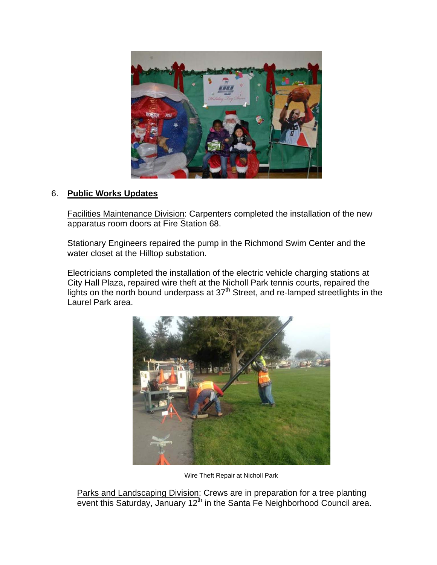

## 6. **Public Works Updates**

Facilities Maintenance Division: Carpenters completed the installation of the new apparatus room doors at Fire Station 68.

Stationary Engineers repaired the pump in the Richmond Swim Center and the water closet at the Hilltop substation.

Electricians completed the installation of the electric vehicle charging stations at City Hall Plaza, repaired wire theft at the Nicholl Park tennis courts, repaired the lights on the north bound underpass at 37<sup>th</sup> Street, and re-lamped streetlights in the Laurel Park area.



Wire Theft Repair at Nicholl Park

Parks and Landscaping Division: Crews are in preparation for a tree planting event this Saturday, January  $12^{th}$  in the Santa Fe Neighborhood Council area.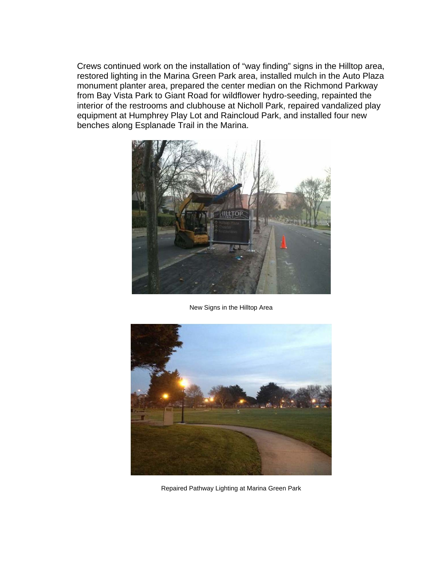Crews continued work on the installation of "way finding" signs in the Hilltop area, restored lighting in the Marina Green Park area, installed mulch in the Auto Plaza monument planter area, prepared the center median on the Richmond Parkway from Bay Vista Park to Giant Road for wildflower hydro-seeding, repainted the interior of the restrooms and clubhouse at Nicholl Park, repaired vandalized play equipment at Humphrey Play Lot and Raincloud Park, and installed four new benches along Esplanade Trail in the Marina.



New Signs in the Hilltop Area



Repaired Pathway Lighting at Marina Green Park